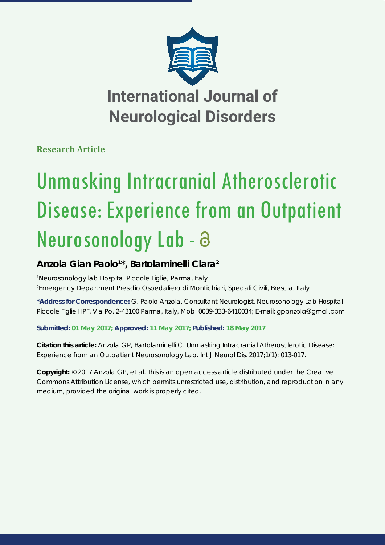

**Research Article**

# Unmasking Intracranial Atherosclerotic Disease: Experience from an Outpatient Neurosonology Lab -

# **Anzola Gian Paolo1 \*, Bartolaminelli Clara2**

*1 Neurosonology lab Hospital Piccole Figlie, Parma, Italy 2 Emergency Department Presidio Ospedaliero di Montichiari, Spedali Civili, Brescia, Italy*

**\*Address for Correspondence:** G. Paolo Anzola, Consultant Neurologist, Neurosonology Lab Hospital Piccole Figlie HPF, Via Po, 2-43100 Parma, Italy, Mob: 0039-333-6410034; E-mail: gpanzola@gmail.com

**Submitted: 01 May 2017; Approved: 11 May 2017; Published: 18 May 2017**

**Citation this article:** Anzola GP, Bartolaminelli C. Unmasking Intracranial Atherosclerotic Disease: Experience from an Outpatient Neurosonology Lab. Int J Neurol Dis. 2017;1(1): 013-017.

**Copyright:** © 2017 Anzola GP, et al. This is an open access article distributed under the Creative Commons Attribution License, which permits unrestricted use, distribution, and reproduction in any medium, provided the original work is properly cited.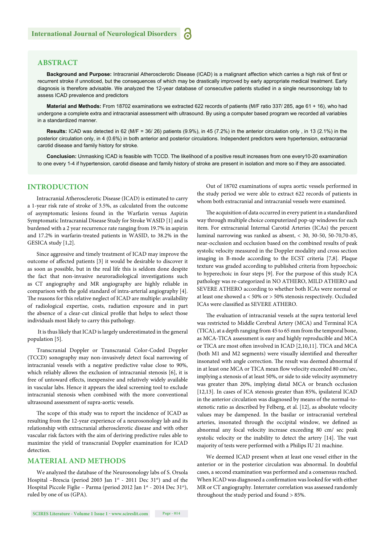# **ABSTRACT**

Background and Purpose: Intracranial Atherosclerotic Disease (ICAD) is a malignant affection which carries a high risk of first or recurrent stroke if unnoticed, but the consequences of which may be drastically improved by early appropriate medical treatment. Early diagnosis is therefore advisable. We analyzed the 12-year database of consecutive patients studied in a single neurosonology lab to assess ICAD prevalence and predictors

**Material and Methods:** From 18702 examinations we extracted 622 records of patients (M/F ratio 337/ 285, age 61 + 16), who had undergone a complete extra and intracranial assessment with ultrasound. By using a computer based program we recorded all variables in a standardized manner.

**Results:** ICAD was detected in 62 (M/F = 36/ 26) patients (9.9%), in 45 (7.2%) in the anterior circulation only , in 13 (2.1%) in the posterior circulation only, in 4 (0.6%) in both anterior and posterior circulations. Independent predictors were hypertension, extracranial carotid disease and family history for stroke.

**Conclusion:** Unmasking ICAD is feasible with TCCD. The likelihood of a positive result increases from one every10-20 examination to one every 1-4 if hypertension, carotid disease and family history of stroke are present in isolation and more so if they are associated.

#### **INTRODUCTION**

Intracranial Atherosclerotic Disease (ICAD) is estimated to carry a 1-year risk rate of stroke of 3.5%, as calculated from the outcome of asymptomatic lesions found in the Warfarin versus Aspirin Symptomatic Intracranial Disease Study for Stroke WASID [1] and is burdened with a 2 year recurrence rate ranging from 19.7% in aspirin and 17.2% in warfarin-treated patients in WASID, to 38.2% in the GESICA study [1,2].

Since aggressive and timely treatment of ICAD may improve the outcome of affected patients [3] it would be desirable to discover it as soon as possible, but in the real life this is seldom done despite the fact that non-invasive neuroradiological investigations such as CT angiography and MR angiography are highly reliable in comparison with the gold standard of intra-arterial angiography [4]. The reasons for this relative neglect of ICAD are multiple: availability of radiological expertise, costs, radiation exposure and in part the absence of a clear-cut clinical profile that helps to select those individuals most likely to carry this pathology.

 It is thus likely that ICAD is largely underestimated in the general population [5].

Transcranial Doppler or Transcranial Color-Coded Doppler (TCCD) sonography may non-invasively detect focal narrowing of intracranial vessels with a negative predictive value close to 90%, which reliably allows the exclusion of intracranial stenosis [6], it is free of untoward effects, inexpensive and relatively widely available in vascular labs. Hence it appears the ideal screening tool to exclude intracranial stenosis when combined with the more conventional ultrasound assessment of supra-aortic vessels.

The scope of this study was to report the incidence of ICAD as resulting from the 12-year experience of a neurosonology lab and its relationship with extracranial atherosclerotic disease and with other vascular risk factors with the aim of deriving predictive rules able to maximize the yield of transcranial Doppler examination for ICAD detection.

#### **MATERIAL AND METHODS**

We analyzed the database of the Neurosonology labs of S. Orsola Hospital -Brescia (period 2003 Jan 1st - 2011 Dec 31st) and of the Hospital Piccole Figlie – Parma (period 2012 Jan 1st - 2014 Dec 31st), ruled by one of us (GPA).

Out of 18702 examinations of supra aortic vessels performed in the study period we were able to extract 622 records of patients in whom both extracranial and intracranial vessels were examined.

The acquisition of data occurred in every patient in a standardized way through multiple choice computerized pop-up windows for each item. For extracranial Internal Carotid Arteries (ICAs) the percent luminal narrowing was ranked as absent, < 30, 30-50, 50-70,70-85, near-occlusion and occlusion based on the combined results of peak systolic velocity measured in the Doppler modality and cross section imaging in B-mode according to the ECST criteria [7,8]. Plaque texture was graded according to published criteria from hypoechoic to hyperechoic in four steps [9]. For the purpose of this study ICA pathology was re-categorized in NO ATHERO, MILD ATHERO and SEVERE ATHERO according to whether both ICAs were normal or at least one showed a < 50% or > 50% stenosis respectively. Occluded ICAs were classified as SEVERE ATHERO.

The evaluation of intracranial vessels at the supra tentorial level was restricted to Middle Cerebral Artery (MCA) and Terminal ICA (TICA), at a depth ranging from 45 to 65 mm from the temporal bone, as MCA-TICA assessment is easy and highly reproducible and MCA or TICA are most often involved in ICAD [2,10,11]. TICA and MCA (both M1 and M2 segments) were visually identified and thereafter insonated with angle correction. The result was deemed abnormal if in at least one MCA or TICA mean flow velocity exceeded 80 cm/sec, implying a stenosis of at least 50%, or side to side velocity asymmetry was greater than 20%, implying distal MCA or branch occlusion [12,13]. In cases of ICA stenosis greater than 85%, ipsilateral ICAD in the anterior circulation was diagnosed by means of the normal-tostenotic ratio as described by Felberg, et al. [12], as absolute velocity values may be dampened. In the basilar or intracranial vertebral arteries, insonated through the occipital window, we defined as abnormal any focal velocity increase exceeding 80 cm/ sec peak systolic velocity or the inability to detect the artery [14]. The vast majority of tests were performed with a Philips IU 21 machine.

We deemed ICAD present when at least one vessel either in the anterior or in the posterior circulation was abnormal. In doubtful cases, a second examination was performed and a consensus reached. When ICAD was diagnosed a confirmation was looked for with either MR or CT angiography. Interrater correlation was assessed randomly throughout the study period and found > 85%.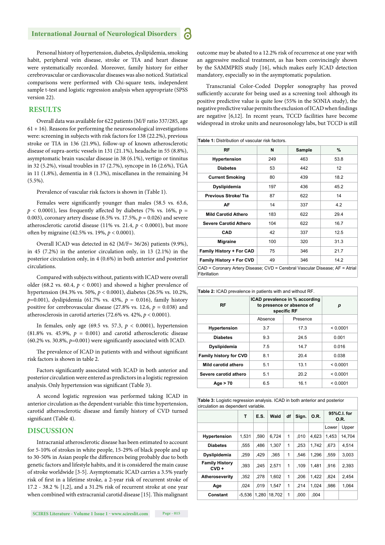# **International Journal of Neurological Disorder**

Personal history of hypertension, diabetes, dyslipidemia, smoking habit, peripheral vein disease, stroke or TIA and heart disease were systematically recorded. Moreover, family history for either cerebrovascular or cardiovascular diseases was also noticed. Statistical comparisons were performed with Chi-square tests, independent sample t-test and logistic regression analysis when appropriate (SPSS version 22).

### **RESULTS**

Overall data was available for 622 patients (M/F ratio 337/285, age  $61 + 16$ ). Reasons for performing the neurosonological investigations were: screening in subjects with risk factors for 138 (22.2%), previous stroke or TIA in 136 (21.9%), follow-up of known atherosclerotic disease of supra-aortic vessels in 131 (21.1%), headache in 55 (8.8%), asymptomatic brain vascular disease in 38 (6.1%), vertigo or tinnitus in 32 (5.2%), visual troubles in 17 (2.7%), syncope in 16 (2.6%), TGA in 11 (1.8%), dementia in 8 (1.3%), miscellanea in the remaining 34  $(5.5\%)$ .

Prevalence of vascular risk factors is shown in (Table 1).

Females were significantly younger than males (58.5 vs. 63.6,  $p < 0.0001$ ), less frequently affected by diabetes (7% vs. 16%, p = 0.003), coronary artery disease (6.5% vs. 17.5%, *p* = 0.026) and severe atherosclerotic carotid disease (11% vs. 21.4,  $p < 0.0001$ ), but more often by migraine (42.5% vs. 19%,  $p < 0.0001$ ).

Overall ICAD was detected in 62 (M/F= 36/26) patients (9.9%), in 45 (7.2%) in the anterior circulation only, in 13 (2.1%) in the posterior circulation only, in 4 (0.6%) in both anterior and posterior circulations.

Compared with subjects without, patients with ICAD were overall older (68.2 vs. 60.4,  $p < 0.001$ ) and showed a higher prevalence of hypertension (84.3% vs. 50%, *p* < 0.0001), diabetes (26.5% vs. 10.2%, *p*=0.001), dyslipidemia (61.7% vs. 43%, *p* = 0.016), family history positive for cerebrovascular disease (27.8% vs. 12.6,  $p = 0.038$ ) and atherosclerosis in carotid arteries (72.6% vs. 42%, *p* < 0.0001).

In females, only age (69.5 vs. 57.3, *p* < 0.0001), hypertension (81.8% vs. 45.9%,  $p = 0.001$ ) and carotid atherosclerotic disease  $(60.2\% \text{ vs. } 30.8\%, p=0.001)$  were significantly associated with ICAD.

The prevalence of ICAD in patients with and without significant risk factors is shown in table 2.

Factors significantly associated with ICAD in both anterior and posterior circulation were entered as predictors in a logistic regression analysis. Only hypertension was significant (Table 3).

A second logistic regression was performed taking ICAD in anterior circulation as the dependent variable: this time hypertension, carotid atherosclerotic disease and family history of CVD turned significant (Table 4).

#### **DISCUSSION**

Intracranial atherosclerotic disease has been estimated to account for 5-10% of strokes in white people, 15-29% of black people and up to 30-50% in Asian people the differences being probably due to both genetic factors and lifestyle habits, and it is considered the main cause of stroke worldwide [3-5]. Asymptomatic ICAD carries a 3.5% yearly risk of first in a lifetime stroke, a 2-year risk of recurrent stroke of 17.2 - 38.2 % [1,2], and a 31.2% risk of recurrent stroke at one year when combined with extracranial carotid disease [15]. This malignant

outcome may be abated to a 12.2% risk of recurrence at one year with an aggressive medical treatment, as has been convincingly shown by the SAMMPRIS study [16], which makes early ICAD detection mandatory, especially so in the asymptomatic population.

Transcranial Color-Coded Doppler sonography has proved sufficiently accurate for being used as a screening tool: although its positive predictive value is quite low (55% in the SONIA study), the negative predictive value permits the exclusion of ICAD when findings are negative [6,12]. In recent years, TCCD facilities have become widespread in stroke units and neurosonology labs, but TCCD is still

| <b>Table 1:</b> Distribution of vascular risk factors.                                      |     |        |      |  |  |  |  |
|---------------------------------------------------------------------------------------------|-----|--------|------|--|--|--|--|
| RF                                                                                          | N   | Sample | %    |  |  |  |  |
| <b>Hypertension</b>                                                                         | 249 | 463    | 53.8 |  |  |  |  |
| <b>Diabetes</b>                                                                             | 53  | 442    | 12   |  |  |  |  |
| <b>Current Smoking</b>                                                                      | 80  | 439    | 18.2 |  |  |  |  |
| Dyslipidemia                                                                                | 197 | 436    | 45.2 |  |  |  |  |
| <b>Previous Stroke/Tia</b>                                                                  | 87  | 622    | 14   |  |  |  |  |
| AF                                                                                          | 14  | 337    | 4.2  |  |  |  |  |
| <b>Mild Carotid Athero</b>                                                                  | 183 | 622    | 29.4 |  |  |  |  |
| <b>Severe Carotid Athero</b>                                                                | 104 | 622    | 16.7 |  |  |  |  |
| <b>CAD</b>                                                                                  | 42  | 337    | 12.5 |  |  |  |  |
| <b>Migraine</b>                                                                             | 100 | 320    | 31.3 |  |  |  |  |
| <b>Family History + For CAD</b>                                                             | 75  | 346    | 21.7 |  |  |  |  |
| Family History + For CVD                                                                    | 49  | 346    | 14.2 |  |  |  |  |
| CAD = Coronary Artery Disease; CVD = Cerebral Vascular Disease; AF = Atrial<br>Fibrillation |     |        |      |  |  |  |  |

| <b>Table 2:</b> ICAD prevalence in patients with and without RF. |                                                                            |          |          |  |  |  |
|------------------------------------------------------------------|----------------------------------------------------------------------------|----------|----------|--|--|--|
| RF                                                               | ICAD prevalence in % according<br>to presence or absence of<br>specific RF | р        |          |  |  |  |
|                                                                  | Absence                                                                    | Presence |          |  |  |  |
| <b>Hypertension</b>                                              | 3.7                                                                        | 17.3     | < 0.0001 |  |  |  |
| <b>Diabetes</b>                                                  | 9.3                                                                        | 24.5     | 0.001    |  |  |  |
| Dyslipidemia                                                     | 7.5                                                                        | 14.7     | 0.016    |  |  |  |
| <b>Family history for CVD</b>                                    | 8.1                                                                        | 20.4     | 0.038    |  |  |  |
| Mild carotid athero                                              | 5.1                                                                        | 13.1     | < 0.0001 |  |  |  |
| Severe carotid athero                                            | 5.1                                                                        | 20.2     | < 0.0001 |  |  |  |
| Age > 70                                                         | 6.5                                                                        | 16.1     | < 0.0001 |  |  |  |

**Table 3:** Logistic regression analysis. ICAD in both anterior and posterior circulation as dependent variable.

|                                  | т        | E.S.  | Wald   | df           | Sign. | O.R.  | 95%C.I. for<br>0.R. |        |
|----------------------------------|----------|-------|--------|--------------|-------|-------|---------------------|--------|
|                                  |          |       |        |              |       |       | Lower               | Upper  |
| <b>Hypertension</b>              | 1,531    | .590  | 6.724  | $\mathbf{1}$ | .010  | 4.623 | 1.453               | 14,704 |
| <b>Diabetes</b>                  | .555     | .486  | 1,307  | $\mathbf{1}$ | .253  | 1.742 | .673                | 4,514  |
| Dyslipidemia                     | .259     | .429  | .365   | 1            | .546  | 1.296 | .559                | 3,003  |
| <b>Family History</b><br>$CVD +$ | .393     | .245  | 2.571  | 1            | .109  | 1.481 | .916                | 2,393  |
| Atheroseverity                   | .352     | .278  | 1,602  | 1            | .206  | 1.422 | .824                | 2,454  |
| Age                              | .024     | .019  | 1.547  | 1            | .214  | 1.024 | .986                | 1.064  |
| Constant                         | $-5.536$ | 1.280 | 18.702 | 1            | .000  | .004  |                     |        |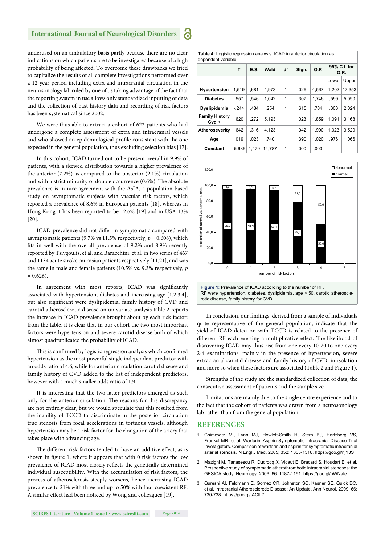### **International Journal of Neurological Disorder**

underused on an ambulatory basis partly because there are no clear indications on which patients are to be investigated because of a high probability of being affected. To overcome these drawbacks we tried to capitalize the results of all complete investigations performed over a 12 year period including extra and intracranial circulation in the neurosonology lab ruled by one of us taking advantage of the fact that the reporting system in use allows only standardized inputting of data and the collection of past history data and recording of risk factors has been systematical since 2002.

We were thus able to extract a cohort of 622 patients who had undergone a complete assessment of extra and intracranial vessels and who showed an epidemiological profile consistent with the one expected in the general population, thus excluding selection bias [17].

In this cohort, ICAD turned out to be present overall in 9.9% of patients, with a skewed distribution towards a higher prevalence of the anterior (7.2%) as compared to the posterior (2.1%) circulation and with a strict minority of double occurrence (0.6%). The absolute prevalence is in nice agreement with the AsIA, a population-based study on asymptomatic subjects with vascular risk factors, which reported a prevalence of 8.6% in European patients [18], whereas in Hong Kong it has been reported to be 12.6% [19] and in USA 13% [20].

ICAD prevalence did not differ in symptomatic compared with asymptomatic patients (9.7% vs 11.5% respectively,  $p = 0.608$ ), which fits in well with the overall prevalence of 9.2% and 8.9% recently reported by Tsivgoulis, et al. and Baracchini, et al. in two series of 467 and 1134 acute stroke caucasian patients respectively [11,21], and was the same in male and female patients (10.5% vs. 9.3% respectively, *p*   $= 0.626$ ).

In agreement with most reports, ICAD was significantly associated with hypertension, diabetes and increasing age [1,2,3,4], but also significant were dyslipidemia, family history of CVD and carotid atherosclerotic disease on univariate analysis table 2 reports the increase in ICAD prevalence brought about by each risk factor: from the table, it is clear that in our cohort the two most important factors were hypertension and severe carotid disease both of which almost quadruplicated the probability of ICAD.

This is confirmed by logistic regression analysis which confirmed hypertension as the most powerful single independent predictor with an odds ratio of 4.6, while for anterior circulation carotid disease and family history of CVD added to the list of independent predictors, however with a much smaller odds ratio of 1.9.

It is interesting that the two latter predictors emerged as such only for the anterior circulation. The reasons for this discrepancy are not entirely clear, but we would speculate that this resulted from the inability of TCCD to discriminate in the posterior circulation true stenosis from focal accelerations in tortuous vessels, although hypertension may be a risk factor for the elongation of the artery that takes place with advancing age.

The different risk factors tended to have an additive effect, as is shown in figure 1, where it appears that with 0 risk factors the low prevalence of ICAD most closely reflects the genetically determined individual susceptibility. With the accumulation of risk factors, the process of atherosclerosis steeply worsens, hence increasing ICAD prevalence to 21% with three and up to 50% with four coexistent RF. A similar effect had been noticed by Wong and colleagues [19].

**Table 4:** Logistic regression analysis. ICAD in anterior circulation as dependent variable.

|                                  | т        | E.S.  | Wald   | df | Sign. | O.R   | 95% C.I. for<br>0.R. |        |
|----------------------------------|----------|-------|--------|----|-------|-------|----------------------|--------|
|                                  |          |       |        |    |       |       | Lower                | Upper  |
| Hypertension                     | 1,519    | .681  | 4,973  | 1  | 026   | 4,567 | 1.202                | 17,353 |
| <b>Diabetes</b>                  | .557     | .546  | 1.042  | 1  | .307  | 1,746 | .599                 | 5,090  |
| Dyslipidemia                     | $-.244$  | .484  | .254   | 1  | .615  | .784  | ,303                 | 2,024  |
| <b>Family History</b><br>$Cvd +$ | ,620     | .272  | 5,193  | 1  | .023  | 1,859 | 1.091                | 3,168  |
| Atheroseverity                   | .642     | .316  | 4,123  | 1  | .042  | 1.900 | 1.023                | 3.529  |
| Age                              | .019     | .023  | .740   | 1  | .390  | 1.020 | .976                 | 1,066  |
| Constant                         | $-5.686$ | 1,479 | 14.787 | 1  | ,000  | ,003  |                      |        |



In conclusion, our findings, derived from a sample of individuals quite representative of the general population, indicate that the yield of ICAD detection with TCCD is related to the presence of different RF each exerting a multiplicative effect. The likelihood of discovering ICAD may thus rise from one every 10-20 to one every 2-4 examinations, mainly in the presence of hypertension, severe extracranial carotid disease and family history of CVD, in isolation and more so when these factors are associated (Table 2 and Figure 1).

Strengths of the study are the standardized collection of data, the consecutive assessment of patients and the sample size.

Limitations are mainly due to the single centre experience and to the fact that the cohort of patients was drawn from a neurosonology lab rather than from the general population.

#### **REFERENCES**

- 1. Chimowitz MI, Lynn MJ, Howlett-Smith H, Stern BJ, Hertzberg VS, Frankel MR, et al. Warfarin–Aspirin Symptomatic Intracranial Disease Trial Investigators. Comparison of warfarin and aspirin for symptomatic intracranial arterial stenosis. N Engl J Med. 2005; 352: 1305-1316. https://goo.gl/rijYJS
- 2. Mazighi M, Tanasescu R, Ducrocq X, Vicaut E, Bracard S, Houdart E, et al. Prospective study of symptomatic atherothrombotic intracranial stenoses: the GESICA study. Neurology. 2006; 66: 1187-1191. https://goo.gl/hWNafe
- 3. Qureshi AI, Feldmann E, Gomez CR, Johnston SC, Kasner SE, Quick DC, et al. Intracranial Atherosclerotic Disease: An Update. Ann Neurol. 2009; 66: 730-738. https://goo.gl/tACIL7